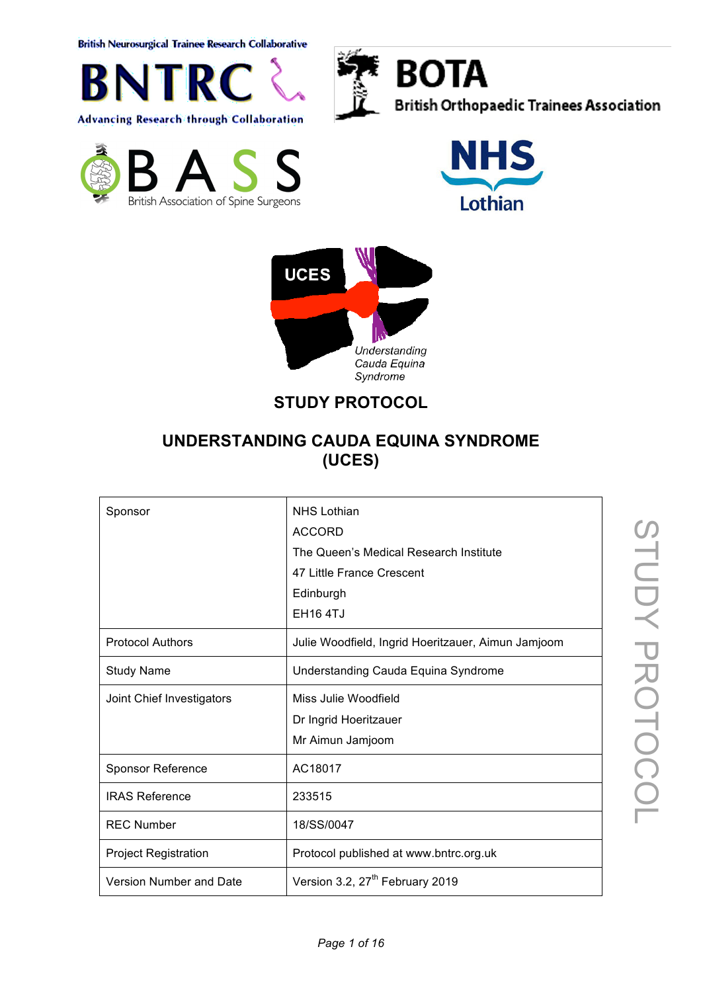**British Neurosurgical Trainee Research Collaborative** 





**BOTA British Orthopaedic Trainees Association** 







# **STUDY PROTOCOL**

## **UNDERSTANDING CAUDA EQUINA SYNDROME (UCES)**

| Sponsor                     | <b>NHS Lothian</b><br><b>ACCORD</b><br>The Queen's Medical Research Institute<br>47 Little France Crescent<br>Edinburgh |
|-----------------------------|-------------------------------------------------------------------------------------------------------------------------|
|                             | <b>EH164TJ</b>                                                                                                          |
| <b>Protocol Authors</b>     | Julie Woodfield, Ingrid Hoeritzauer, Aimun Jamjoom                                                                      |
| <b>Study Name</b>           | Understanding Cauda Equina Syndrome                                                                                     |
| Joint Chief Investigators   | Miss Julie Woodfield<br>Dr Ingrid Hoeritzauer<br>Mr Aimun Jamjoom                                                       |
| <b>Sponsor Reference</b>    | AC18017                                                                                                                 |
| <b>IRAS Reference</b>       | 233515                                                                                                                  |
| <b>REC Number</b>           | 18/SS/0047                                                                                                              |
| <b>Project Registration</b> | Protocol published at www.bntrc.org.uk                                                                                  |
| Version Number and Date     | Version 3.2, 27 <sup>th</sup> February 2019                                                                             |

STUDY PROTOCOL STUDY PROTOCOL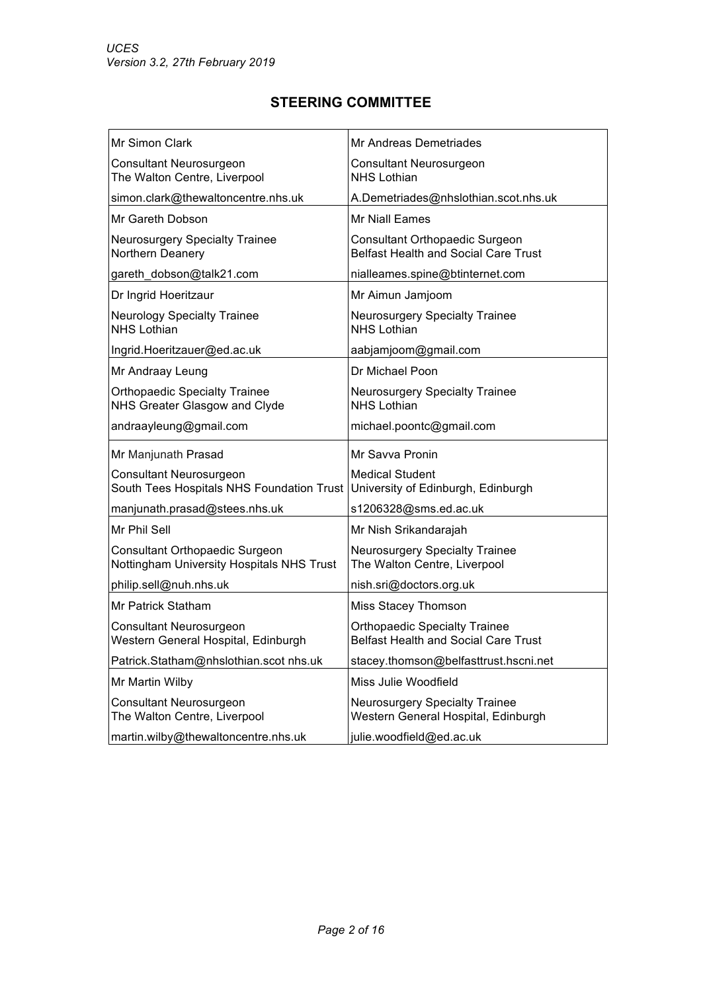## **STEERING COMMITTEE**

| Mr Simon Clark                                                              | Mr Andreas Demetriades                                                              |
|-----------------------------------------------------------------------------|-------------------------------------------------------------------------------------|
| <b>Consultant Neurosurgeon</b><br>The Walton Centre, Liverpool              | Consultant Neurosurgeon<br><b>NHS Lothian</b>                                       |
| simon.clark@thewaltoncentre.nhs.uk                                          | A.Demetriades@nhslothian.scot.nhs.uk                                                |
| Mr Gareth Dobson                                                            | <b>Mr Niall Eames</b>                                                               |
| <b>Neurosurgery Specialty Trainee</b><br>Northern Deanery                   | Consultant Orthopaedic Surgeon<br><b>Belfast Health and Social Care Trust</b>       |
| gareth_dobson@talk21.com                                                    | nialleames.spine@btinternet.com                                                     |
| Dr Ingrid Hoeritzaur                                                        | Mr Aimun Jamjoom                                                                    |
| <b>Neurology Specialty Trainee</b><br><b>NHS Lothian</b>                    | <b>Neurosurgery Specialty Trainee</b><br><b>NHS Lothian</b>                         |
| Ingrid.Hoeritzauer@ed.ac.uk                                                 | aabjamjoom@gmail.com                                                                |
| Mr Andraay Leung                                                            | Dr Michael Poon                                                                     |
| <b>Orthopaedic Specialty Trainee</b><br>NHS Greater Glasgow and Clyde       | <b>Neurosurgery Specialty Trainee</b><br><b>NHS Lothian</b>                         |
| andraayleung@gmail.com                                                      | michael.poontc@gmail.com                                                            |
| Mr Manjunath Prasad                                                         | Mr Savva Pronin                                                                     |
| <b>Consultant Neurosurgeon</b><br>South Tees Hospitals NHS Foundation Trust | <b>Medical Student</b><br>University of Edinburgh, Edinburgh                        |
| manjunath.prasad@stees.nhs.uk                                               | s1206328@sms.ed.ac.uk                                                               |
| Mr Phil Sell                                                                | Mr Nish Srikandarajah                                                               |
| Consultant Orthopaedic Surgeon<br>Nottingham University Hospitals NHS Trust | <b>Neurosurgery Specialty Trainee</b><br>The Walton Centre, Liverpool               |
| philip.sell@nuh.nhs.uk                                                      | nish.sri@doctors.org.uk                                                             |
| <b>Mr Patrick Statham</b>                                                   | Miss Stacey Thomson                                                                 |
| <b>Consultant Neurosurgeon</b><br>Western General Hospital, Edinburgh       | <b>Orthopaedic Specialty Trainee</b><br><b>Belfast Health and Social Care Trust</b> |
| Patrick.Statham@nhslothian.scot nhs.uk                                      | stacey.thomson@belfasttrust.hscni.net                                               |
| Mr Martin Wilby                                                             | Miss Julie Woodfield                                                                |
| Consultant Neurosurgeon<br>The Walton Centre, Liverpool                     | Neurosurgery Specialty Trainee<br>Western General Hospital, Edinburgh               |
| martin.wilby@thewaltoncentre.nhs.uk                                         | julie.woodfield@ed.ac.uk                                                            |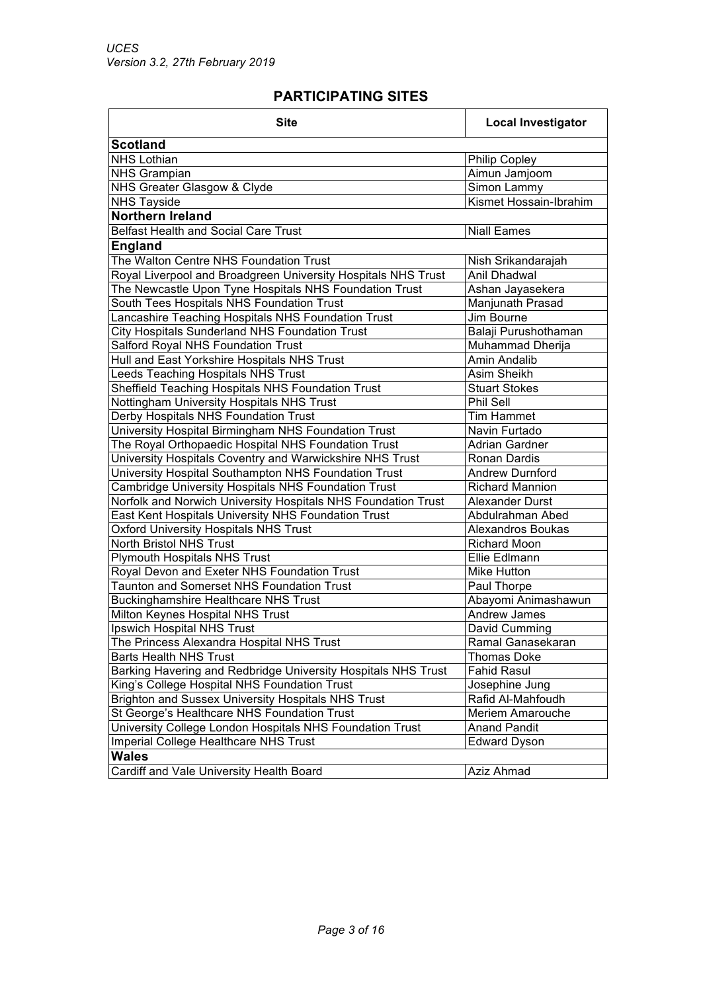## **PARTICIPATING SITES**

| <b>Scotland</b><br><b>NHS Lothian</b><br><b>Philip Copley</b><br>Aimun Jamjoom<br><b>NHS Grampian</b><br>NHS Greater Glasgow & Clyde<br>Simon Lammy<br>Kismet Hossain-Ibrahim<br><b>NHS Tayside</b><br><b>Northern Ireland</b><br><b>Belfast Health and Social Care Trust</b><br><b>Niall Eames</b><br><b>England</b><br>The Walton Centre NHS Foundation Trust<br>Nish Srikandarajah<br>Royal Liverpool and Broadgreen University Hospitals NHS Trust<br>Anil Dhadwal<br>The Newcastle Upon Tyne Hospitals NHS Foundation Trust<br>Ashan Jayasekera<br>South Tees Hospitals NHS Foundation Trust<br>Manjunath Prasad<br>Lancashire Teaching Hospitals NHS Foundation Trust<br>Jim Bourne<br>City Hospitals Sunderland NHS Foundation Trust<br>Balaji Purushothaman<br>Salford Royal NHS Foundation Trust<br>Muhammad Dherija<br>Hull and East Yorkshire Hospitals NHS Trust<br>Amin Andalib<br>Leeds Teaching Hospitals NHS Trust<br>Asim Sheikh<br>Sheffield Teaching Hospitals NHS Foundation Trust<br><b>Stuart Stokes</b><br>Nottingham University Hospitals NHS Trust<br>Phil Sell<br>Derby Hospitals NHS Foundation Trust<br><b>Tim Hammet</b><br>University Hospital Birmingham NHS Foundation Trust<br>Navin Furtado<br>The Royal Orthopaedic Hospital NHS Foundation Trust<br><b>Adrian Gardner</b><br>University Hospitals Coventry and Warwickshire NHS Trust<br>Ronan Dardis<br>University Hospital Southampton NHS Foundation Trust<br><b>Andrew Durnford</b><br>Cambridge University Hospitals NHS Foundation Trust<br><b>Richard Mannion</b><br>Norfolk and Norwich University Hospitals NHS Foundation Trust<br>Alexander Durst<br>East Kent Hospitals University NHS Foundation Trust<br>Abdulrahman Abed<br><b>Oxford University Hospitals NHS Trust</b><br>Alexandros Boukas<br><b>North Bristol NHS Trust</b><br><b>Richard Moon</b><br><b>Plymouth Hospitals NHS Trust</b><br>Ellie Edlmann |  |  |  |
|-------------------------------------------------------------------------------------------------------------------------------------------------------------------------------------------------------------------------------------------------------------------------------------------------------------------------------------------------------------------------------------------------------------------------------------------------------------------------------------------------------------------------------------------------------------------------------------------------------------------------------------------------------------------------------------------------------------------------------------------------------------------------------------------------------------------------------------------------------------------------------------------------------------------------------------------------------------------------------------------------------------------------------------------------------------------------------------------------------------------------------------------------------------------------------------------------------------------------------------------------------------------------------------------------------------------------------------------------------------------------------------------------------------------------------------------------------------------------------------------------------------------------------------------------------------------------------------------------------------------------------------------------------------------------------------------------------------------------------------------------------------------------------------------------------------------------------------------------------------------------------------------------------------------|--|--|--|
|                                                                                                                                                                                                                                                                                                                                                                                                                                                                                                                                                                                                                                                                                                                                                                                                                                                                                                                                                                                                                                                                                                                                                                                                                                                                                                                                                                                                                                                                                                                                                                                                                                                                                                                                                                                                                                                                                                                   |  |  |  |
|                                                                                                                                                                                                                                                                                                                                                                                                                                                                                                                                                                                                                                                                                                                                                                                                                                                                                                                                                                                                                                                                                                                                                                                                                                                                                                                                                                                                                                                                                                                                                                                                                                                                                                                                                                                                                                                                                                                   |  |  |  |
|                                                                                                                                                                                                                                                                                                                                                                                                                                                                                                                                                                                                                                                                                                                                                                                                                                                                                                                                                                                                                                                                                                                                                                                                                                                                                                                                                                                                                                                                                                                                                                                                                                                                                                                                                                                                                                                                                                                   |  |  |  |
|                                                                                                                                                                                                                                                                                                                                                                                                                                                                                                                                                                                                                                                                                                                                                                                                                                                                                                                                                                                                                                                                                                                                                                                                                                                                                                                                                                                                                                                                                                                                                                                                                                                                                                                                                                                                                                                                                                                   |  |  |  |
|                                                                                                                                                                                                                                                                                                                                                                                                                                                                                                                                                                                                                                                                                                                                                                                                                                                                                                                                                                                                                                                                                                                                                                                                                                                                                                                                                                                                                                                                                                                                                                                                                                                                                                                                                                                                                                                                                                                   |  |  |  |
|                                                                                                                                                                                                                                                                                                                                                                                                                                                                                                                                                                                                                                                                                                                                                                                                                                                                                                                                                                                                                                                                                                                                                                                                                                                                                                                                                                                                                                                                                                                                                                                                                                                                                                                                                                                                                                                                                                                   |  |  |  |
|                                                                                                                                                                                                                                                                                                                                                                                                                                                                                                                                                                                                                                                                                                                                                                                                                                                                                                                                                                                                                                                                                                                                                                                                                                                                                                                                                                                                                                                                                                                                                                                                                                                                                                                                                                                                                                                                                                                   |  |  |  |
|                                                                                                                                                                                                                                                                                                                                                                                                                                                                                                                                                                                                                                                                                                                                                                                                                                                                                                                                                                                                                                                                                                                                                                                                                                                                                                                                                                                                                                                                                                                                                                                                                                                                                                                                                                                                                                                                                                                   |  |  |  |
|                                                                                                                                                                                                                                                                                                                                                                                                                                                                                                                                                                                                                                                                                                                                                                                                                                                                                                                                                                                                                                                                                                                                                                                                                                                                                                                                                                                                                                                                                                                                                                                                                                                                                                                                                                                                                                                                                                                   |  |  |  |
|                                                                                                                                                                                                                                                                                                                                                                                                                                                                                                                                                                                                                                                                                                                                                                                                                                                                                                                                                                                                                                                                                                                                                                                                                                                                                                                                                                                                                                                                                                                                                                                                                                                                                                                                                                                                                                                                                                                   |  |  |  |
|                                                                                                                                                                                                                                                                                                                                                                                                                                                                                                                                                                                                                                                                                                                                                                                                                                                                                                                                                                                                                                                                                                                                                                                                                                                                                                                                                                                                                                                                                                                                                                                                                                                                                                                                                                                                                                                                                                                   |  |  |  |
|                                                                                                                                                                                                                                                                                                                                                                                                                                                                                                                                                                                                                                                                                                                                                                                                                                                                                                                                                                                                                                                                                                                                                                                                                                                                                                                                                                                                                                                                                                                                                                                                                                                                                                                                                                                                                                                                                                                   |  |  |  |
|                                                                                                                                                                                                                                                                                                                                                                                                                                                                                                                                                                                                                                                                                                                                                                                                                                                                                                                                                                                                                                                                                                                                                                                                                                                                                                                                                                                                                                                                                                                                                                                                                                                                                                                                                                                                                                                                                                                   |  |  |  |
|                                                                                                                                                                                                                                                                                                                                                                                                                                                                                                                                                                                                                                                                                                                                                                                                                                                                                                                                                                                                                                                                                                                                                                                                                                                                                                                                                                                                                                                                                                                                                                                                                                                                                                                                                                                                                                                                                                                   |  |  |  |
|                                                                                                                                                                                                                                                                                                                                                                                                                                                                                                                                                                                                                                                                                                                                                                                                                                                                                                                                                                                                                                                                                                                                                                                                                                                                                                                                                                                                                                                                                                                                                                                                                                                                                                                                                                                                                                                                                                                   |  |  |  |
|                                                                                                                                                                                                                                                                                                                                                                                                                                                                                                                                                                                                                                                                                                                                                                                                                                                                                                                                                                                                                                                                                                                                                                                                                                                                                                                                                                                                                                                                                                                                                                                                                                                                                                                                                                                                                                                                                                                   |  |  |  |
|                                                                                                                                                                                                                                                                                                                                                                                                                                                                                                                                                                                                                                                                                                                                                                                                                                                                                                                                                                                                                                                                                                                                                                                                                                                                                                                                                                                                                                                                                                                                                                                                                                                                                                                                                                                                                                                                                                                   |  |  |  |
|                                                                                                                                                                                                                                                                                                                                                                                                                                                                                                                                                                                                                                                                                                                                                                                                                                                                                                                                                                                                                                                                                                                                                                                                                                                                                                                                                                                                                                                                                                                                                                                                                                                                                                                                                                                                                                                                                                                   |  |  |  |
|                                                                                                                                                                                                                                                                                                                                                                                                                                                                                                                                                                                                                                                                                                                                                                                                                                                                                                                                                                                                                                                                                                                                                                                                                                                                                                                                                                                                                                                                                                                                                                                                                                                                                                                                                                                                                                                                                                                   |  |  |  |
|                                                                                                                                                                                                                                                                                                                                                                                                                                                                                                                                                                                                                                                                                                                                                                                                                                                                                                                                                                                                                                                                                                                                                                                                                                                                                                                                                                                                                                                                                                                                                                                                                                                                                                                                                                                                                                                                                                                   |  |  |  |
|                                                                                                                                                                                                                                                                                                                                                                                                                                                                                                                                                                                                                                                                                                                                                                                                                                                                                                                                                                                                                                                                                                                                                                                                                                                                                                                                                                                                                                                                                                                                                                                                                                                                                                                                                                                                                                                                                                                   |  |  |  |
|                                                                                                                                                                                                                                                                                                                                                                                                                                                                                                                                                                                                                                                                                                                                                                                                                                                                                                                                                                                                                                                                                                                                                                                                                                                                                                                                                                                                                                                                                                                                                                                                                                                                                                                                                                                                                                                                                                                   |  |  |  |
|                                                                                                                                                                                                                                                                                                                                                                                                                                                                                                                                                                                                                                                                                                                                                                                                                                                                                                                                                                                                                                                                                                                                                                                                                                                                                                                                                                                                                                                                                                                                                                                                                                                                                                                                                                                                                                                                                                                   |  |  |  |
|                                                                                                                                                                                                                                                                                                                                                                                                                                                                                                                                                                                                                                                                                                                                                                                                                                                                                                                                                                                                                                                                                                                                                                                                                                                                                                                                                                                                                                                                                                                                                                                                                                                                                                                                                                                                                                                                                                                   |  |  |  |
|                                                                                                                                                                                                                                                                                                                                                                                                                                                                                                                                                                                                                                                                                                                                                                                                                                                                                                                                                                                                                                                                                                                                                                                                                                                                                                                                                                                                                                                                                                                                                                                                                                                                                                                                                                                                                                                                                                                   |  |  |  |
|                                                                                                                                                                                                                                                                                                                                                                                                                                                                                                                                                                                                                                                                                                                                                                                                                                                                                                                                                                                                                                                                                                                                                                                                                                                                                                                                                                                                                                                                                                                                                                                                                                                                                                                                                                                                                                                                                                                   |  |  |  |
|                                                                                                                                                                                                                                                                                                                                                                                                                                                                                                                                                                                                                                                                                                                                                                                                                                                                                                                                                                                                                                                                                                                                                                                                                                                                                                                                                                                                                                                                                                                                                                                                                                                                                                                                                                                                                                                                                                                   |  |  |  |
|                                                                                                                                                                                                                                                                                                                                                                                                                                                                                                                                                                                                                                                                                                                                                                                                                                                                                                                                                                                                                                                                                                                                                                                                                                                                                                                                                                                                                                                                                                                                                                                                                                                                                                                                                                                                                                                                                                                   |  |  |  |
|                                                                                                                                                                                                                                                                                                                                                                                                                                                                                                                                                                                                                                                                                                                                                                                                                                                                                                                                                                                                                                                                                                                                                                                                                                                                                                                                                                                                                                                                                                                                                                                                                                                                                                                                                                                                                                                                                                                   |  |  |  |
| Royal Devon and Exeter NHS Foundation Trust<br>Mike Hutton                                                                                                                                                                                                                                                                                                                                                                                                                                                                                                                                                                                                                                                                                                                                                                                                                                                                                                                                                                                                                                                                                                                                                                                                                                                                                                                                                                                                                                                                                                                                                                                                                                                                                                                                                                                                                                                        |  |  |  |
| Taunton and Somerset NHS Foundation Trust<br>Paul Thorpe                                                                                                                                                                                                                                                                                                                                                                                                                                                                                                                                                                                                                                                                                                                                                                                                                                                                                                                                                                                                                                                                                                                                                                                                                                                                                                                                                                                                                                                                                                                                                                                                                                                                                                                                                                                                                                                          |  |  |  |
| <b>Buckinghamshire Healthcare NHS Trust</b><br>Abayomi Animashawun                                                                                                                                                                                                                                                                                                                                                                                                                                                                                                                                                                                                                                                                                                                                                                                                                                                                                                                                                                                                                                                                                                                                                                                                                                                                                                                                                                                                                                                                                                                                                                                                                                                                                                                                                                                                                                                |  |  |  |
| Milton Keynes Hospital NHS Trust<br>Andrew James                                                                                                                                                                                                                                                                                                                                                                                                                                                                                                                                                                                                                                                                                                                                                                                                                                                                                                                                                                                                                                                                                                                                                                                                                                                                                                                                                                                                                                                                                                                                                                                                                                                                                                                                                                                                                                                                  |  |  |  |
| Ipswich Hospital NHS Trust<br>David Cumming                                                                                                                                                                                                                                                                                                                                                                                                                                                                                                                                                                                                                                                                                                                                                                                                                                                                                                                                                                                                                                                                                                                                                                                                                                                                                                                                                                                                                                                                                                                                                                                                                                                                                                                                                                                                                                                                       |  |  |  |
| The Princess Alexandra Hospital NHS Trust<br>Ramal Ganasekaran                                                                                                                                                                                                                                                                                                                                                                                                                                                                                                                                                                                                                                                                                                                                                                                                                                                                                                                                                                                                                                                                                                                                                                                                                                                                                                                                                                                                                                                                                                                                                                                                                                                                                                                                                                                                                                                    |  |  |  |
| <b>Barts Health NHS Trust</b><br><b>Thomas Doke</b>                                                                                                                                                                                                                                                                                                                                                                                                                                                                                                                                                                                                                                                                                                                                                                                                                                                                                                                                                                                                                                                                                                                                                                                                                                                                                                                                                                                                                                                                                                                                                                                                                                                                                                                                                                                                                                                               |  |  |  |
| Barking Havering and Redbridge University Hospitals NHS Trust<br><b>Fahid Rasul</b>                                                                                                                                                                                                                                                                                                                                                                                                                                                                                                                                                                                                                                                                                                                                                                                                                                                                                                                                                                                                                                                                                                                                                                                                                                                                                                                                                                                                                                                                                                                                                                                                                                                                                                                                                                                                                               |  |  |  |
| King's College Hospital NHS Foundation Trust<br>Josephine Jung                                                                                                                                                                                                                                                                                                                                                                                                                                                                                                                                                                                                                                                                                                                                                                                                                                                                                                                                                                                                                                                                                                                                                                                                                                                                                                                                                                                                                                                                                                                                                                                                                                                                                                                                                                                                                                                    |  |  |  |
| Brighton and Sussex University Hospitals NHS Trust<br>Rafid Al-Mahfoudh                                                                                                                                                                                                                                                                                                                                                                                                                                                                                                                                                                                                                                                                                                                                                                                                                                                                                                                                                                                                                                                                                                                                                                                                                                                                                                                                                                                                                                                                                                                                                                                                                                                                                                                                                                                                                                           |  |  |  |
| St George's Healthcare NHS Foundation Trust<br>Meriem Amarouche                                                                                                                                                                                                                                                                                                                                                                                                                                                                                                                                                                                                                                                                                                                                                                                                                                                                                                                                                                                                                                                                                                                                                                                                                                                                                                                                                                                                                                                                                                                                                                                                                                                                                                                                                                                                                                                   |  |  |  |
| University College London Hospitals NHS Foundation Trust<br><b>Anand Pandit</b>                                                                                                                                                                                                                                                                                                                                                                                                                                                                                                                                                                                                                                                                                                                                                                                                                                                                                                                                                                                                                                                                                                                                                                                                                                                                                                                                                                                                                                                                                                                                                                                                                                                                                                                                                                                                                                   |  |  |  |
| Imperial College Healthcare NHS Trust<br><b>Edward Dyson</b>                                                                                                                                                                                                                                                                                                                                                                                                                                                                                                                                                                                                                                                                                                                                                                                                                                                                                                                                                                                                                                                                                                                                                                                                                                                                                                                                                                                                                                                                                                                                                                                                                                                                                                                                                                                                                                                      |  |  |  |
| <b>Wales</b>                                                                                                                                                                                                                                                                                                                                                                                                                                                                                                                                                                                                                                                                                                                                                                                                                                                                                                                                                                                                                                                                                                                                                                                                                                                                                                                                                                                                                                                                                                                                                                                                                                                                                                                                                                                                                                                                                                      |  |  |  |
| Cardiff and Vale University Health Board<br>Aziz Ahmad                                                                                                                                                                                                                                                                                                                                                                                                                                                                                                                                                                                                                                                                                                                                                                                                                                                                                                                                                                                                                                                                                                                                                                                                                                                                                                                                                                                                                                                                                                                                                                                                                                                                                                                                                                                                                                                            |  |  |  |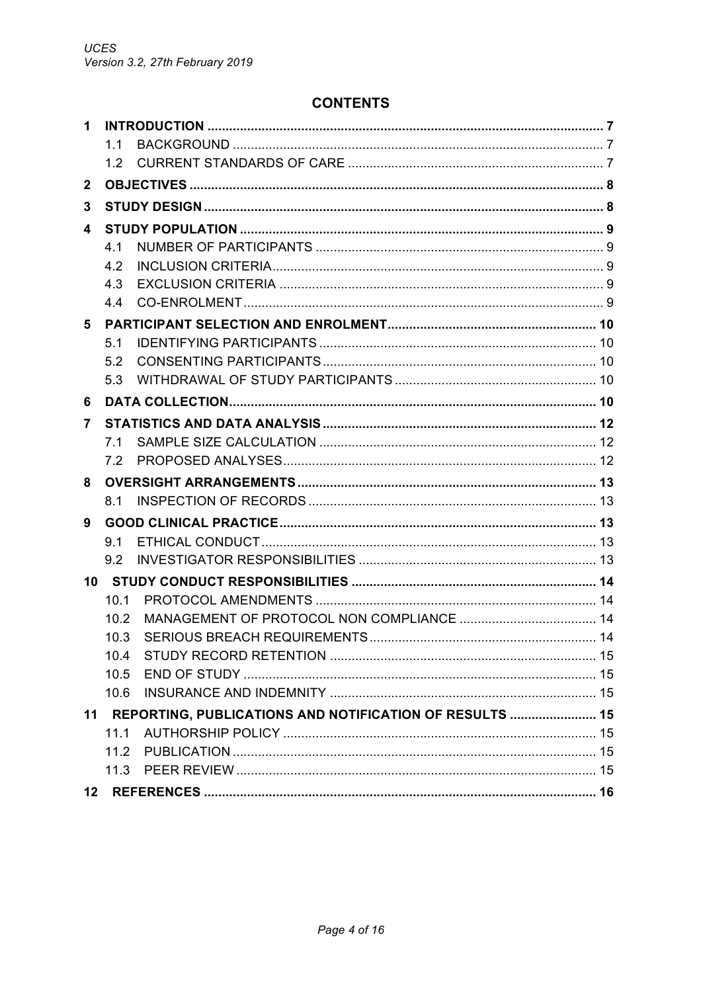## **CONTENTS**

| 1            |      |                                                         |  |
|--------------|------|---------------------------------------------------------|--|
|              | 11   |                                                         |  |
|              | 1.2  |                                                         |  |
| $\mathbf{2}$ |      |                                                         |  |
| 3            |      |                                                         |  |
| 4            |      |                                                         |  |
|              | 4.1  |                                                         |  |
|              | 4.2  |                                                         |  |
|              | 4.3  |                                                         |  |
|              | 4.4  |                                                         |  |
| 5            |      |                                                         |  |
|              | 5.1  |                                                         |  |
|              | 5.2  |                                                         |  |
|              | 5.3  |                                                         |  |
| 6            |      |                                                         |  |
| 7            |      |                                                         |  |
|              | 7.1  |                                                         |  |
|              | 7.2  |                                                         |  |
| 8            |      |                                                         |  |
|              | 8.1  |                                                         |  |
| 9            |      |                                                         |  |
|              | 9.1  |                                                         |  |
|              | 9.2  |                                                         |  |
|              |      |                                                         |  |
|              | 10.1 |                                                         |  |
|              | 102  |                                                         |  |
|              | 10.3 |                                                         |  |
|              | 10.4 |                                                         |  |
|              | 10.5 |                                                         |  |
|              | 10.6 |                                                         |  |
| 11           |      | REPORTING, PUBLICATIONS AND NOTIFICATION OF RESULTS  15 |  |
|              | 11.1 |                                                         |  |
|              | 11.2 |                                                         |  |
|              |      |                                                         |  |
| 12           |      |                                                         |  |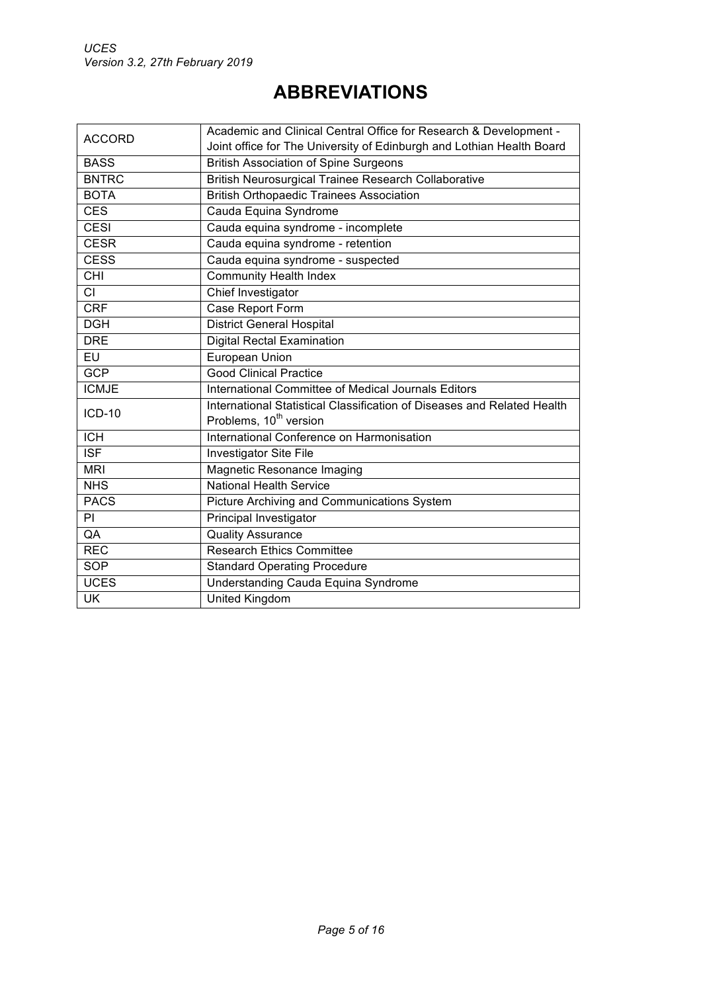# **ABBREVIATIONS**

| <b>ACCORD</b>                      | Academic and Clinical Central Office for Research & Development -       |
|------------------------------------|-------------------------------------------------------------------------|
|                                    | Joint office for The University of Edinburgh and Lothian Health Board   |
| <b>BASS</b>                        | <b>British Association of Spine Surgeons</b>                            |
| <b>BNTRC</b>                       | British Neurosurgical Trainee Research Collaborative                    |
| <b>BOTA</b>                        | <b>British Orthopaedic Trainees Association</b>                         |
| <b>CES</b>                         | Cauda Equina Syndrome                                                   |
| <b>CESI</b>                        | Cauda equina syndrome - incomplete                                      |
| <b>CESR</b>                        | Cauda equina syndrome - retention                                       |
| <b>CESS</b>                        | Cauda equina syndrome - suspected                                       |
| $\overline{\overline{\text{CHI}}}$ | <b>Community Health Index</b>                                           |
| СI                                 | Chief Investigator                                                      |
| <b>CRF</b>                         | Case Report Form                                                        |
| <b>DGH</b>                         | <b>District General Hospital</b>                                        |
| <b>DRE</b>                         | <b>Digital Rectal Examination</b>                                       |
| EU                                 | European Union                                                          |
| <b>GCP</b>                         | <b>Good Clinical Practice</b>                                           |
| <b>ICMJE</b>                       | International Committee of Medical Journals Editors                     |
| <b>ICD-10</b>                      | International Statistical Classification of Diseases and Related Health |
|                                    | Problems, 10 <sup>th</sup> version                                      |
| $\overline{ICH}$                   | International Conference on Harmonisation                               |
| <b>ISF</b>                         | <b>Investigator Site File</b>                                           |
| <b>MRI</b>                         | <b>Magnetic Resonance Imaging</b>                                       |
| <b>NHS</b>                         | <b>National Health Service</b>                                          |
| <b>PACS</b>                        | <b>Picture Archiving and Communications System</b>                      |
| PI                                 | Principal Investigator                                                  |
| QA                                 | <b>Quality Assurance</b>                                                |
| <b>REC</b>                         | <b>Research Ethics Committee</b>                                        |
| <b>SOP</b>                         | <b>Standard Operating Procedure</b>                                     |
| <b>UCES</b>                        | Understanding Cauda Equina Syndrome                                     |
| <b>UK</b>                          | <b>United Kingdom</b>                                                   |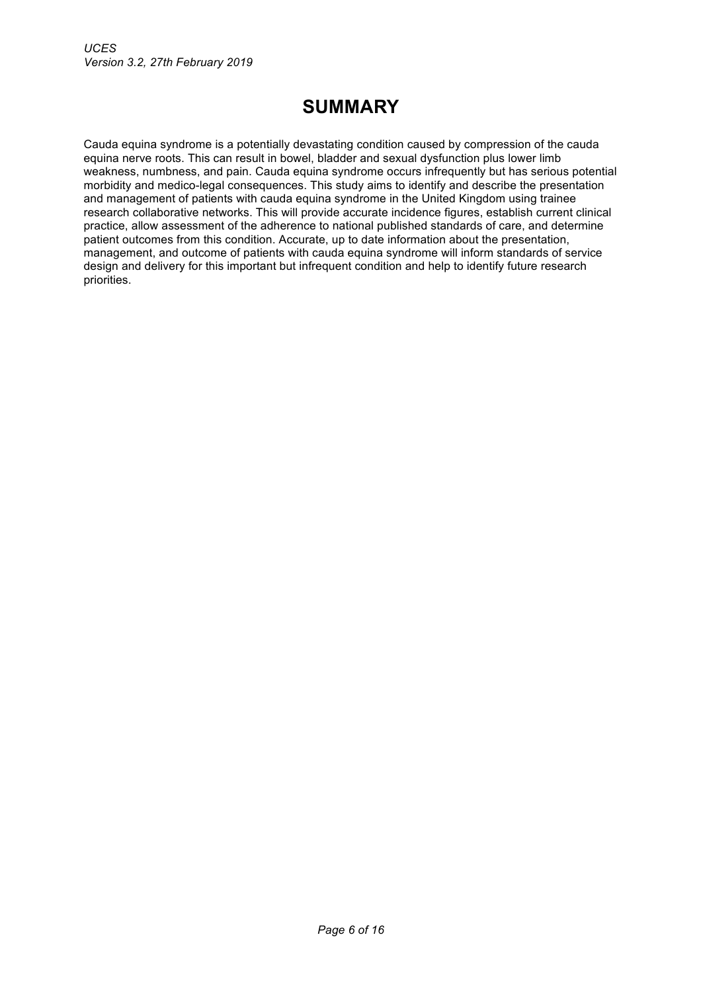# **SUMMARY**

Cauda equina syndrome is a potentially devastating condition caused by compression of the cauda equina nerve roots. This can result in bowel, bladder and sexual dysfunction plus lower limb weakness, numbness, and pain. Cauda equina syndrome occurs infrequently but has serious potential morbidity and medico-legal consequences. This study aims to identify and describe the presentation and management of patients with cauda equina syndrome in the United Kingdom using trainee research collaborative networks. This will provide accurate incidence figures, establish current clinical practice, allow assessment of the adherence to national published standards of care, and determine patient outcomes from this condition. Accurate, up to date information about the presentation, management, and outcome of patients with cauda equina syndrome will inform standards of service design and delivery for this important but infrequent condition and help to identify future research priorities.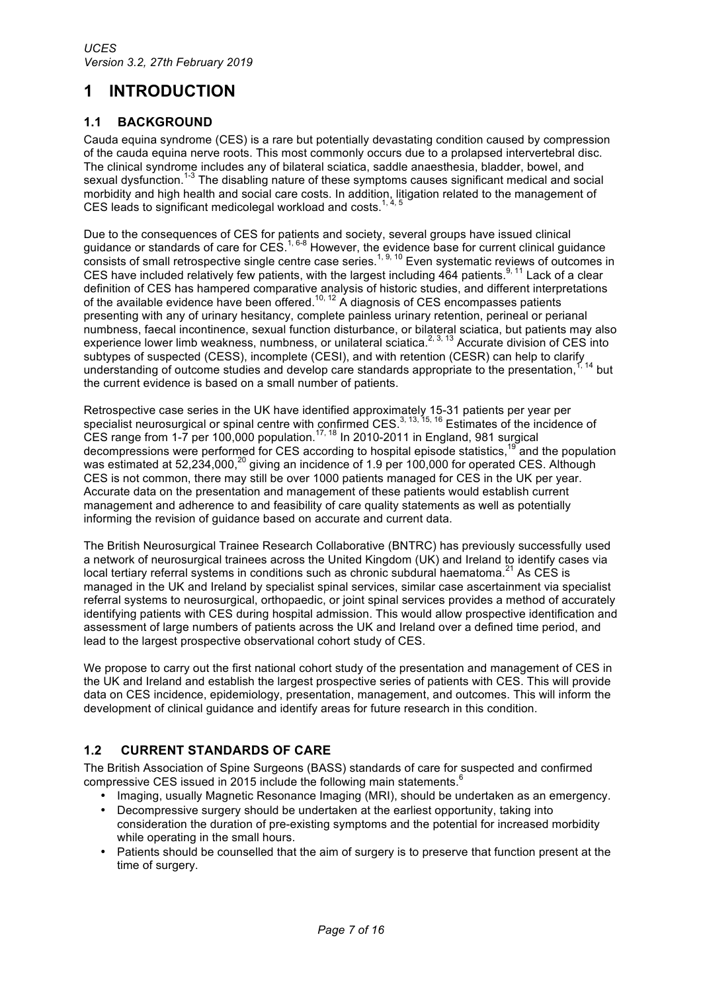# **1 INTRODUCTION**

## **1.1 BACKGROUND**

Cauda equina syndrome (CES) is a rare but potentially devastating condition caused by compression of the cauda equina nerve roots. This most commonly occurs due to a prolapsed intervertebral disc. The clinical syndrome includes any of bilateral sciatica, saddle anaesthesia, bladder, bowel, and sexual dysfunction.<sup>1-3</sup> The disabling nature of these symptoms causes significant medical and social morbidity and high health and social care costs. In addition, litigation related to the management of CES leads to significant medicolegal workload and costs.<sup>1, 4, 5</sup>

Due to the consequences of CES for patients and society, several groups have issued clinical guidance or standards of care for CES.<sup>1, 6-8</sup> However, the evidence base for current clinical guidance consists of small retrospective single centre case series.<sup>1, 9, 10</sup> Even systematic reviews of outcomes in CES have included relatively few patients, with the largest including  $464$  patients.<sup>9, 11</sup> Lack of a clear definition of CES has hampered comparative analysis of historic studies, and different interpretations of the available evidence have been offered.<sup>10, 12</sup> A diagnosis of CES encompasses patients presenting with any of urinary hesitancy, complete painless urinary retention, perineal or perianal numbness, faecal incontinence, sexual function disturbance, or bilateral sciatica, but patients may also experience lower limb weakness, numbness, or unilateral sciatica.<sup>2, 3, 13</sup> Accurate division of CES into subtypes of suspected (CESS), incomplete (CESI), and with retention (CESR) can help to clarify understanding of outcome studies and develop care standards appropriate to the presentation,<sup>1, 14</sup> but the current evidence is based on a small number of patients.

Retrospective case series in the UK have identified approximately 15-31 patients per year per specialist neurosurgical or spinal centre with confirmed CES.<sup>3, 13, 15, 16</sup> Estimates of the incidence of CES range from 1-7 per 100,000 population.<sup>17, 18</sup> In 2010-2011 in England, 981 surgical decompressions were performed for CES according to hospital episode statistics,<sup>19</sup> and the population was estimated at 52,234,000,<sup>20</sup> giving an incidence of 1.9 per 100,000 for operated CES. Although CES is not common, there may still be over 1000 patients managed for CES in the UK per year. Accurate data on the presentation and management of these patients would establish current management and adherence to and feasibility of care quality statements as well as potentially informing the revision of guidance based on accurate and current data.

The British Neurosurgical Trainee Research Collaborative (BNTRC) has previously successfully used a network of neurosurgical trainees across the United Kingdom (UK) and Ireland to identify cases via local tertiary referral systems in conditions such as chronic subdural haematoma.<sup>21</sup> As CES is managed in the UK and Ireland by specialist spinal services, similar case ascertainment via specialist referral systems to neurosurgical, orthopaedic, or joint spinal services provides a method of accurately identifying patients with CES during hospital admission. This would allow prospective identification and assessment of large numbers of patients across the UK and Ireland over a defined time period, and lead to the largest prospective observational cohort study of CES.

We propose to carry out the first national cohort study of the presentation and management of CES in the UK and Ireland and establish the largest prospective series of patients with CES. This will provide data on CES incidence, epidemiology, presentation, management, and outcomes. This will inform the development of clinical guidance and identify areas for future research in this condition.

## **1.2 CURRENT STANDARDS OF CARE**

The British Association of Spine Surgeons (BASS) standards of care for suspected and confirmed compressive CES issued in 2015 include the following main statements.<sup>6</sup>

- Imaging, usually Magnetic Resonance Imaging (MRI), should be undertaken as an emergency.
- Decompressive surgery should be undertaken at the earliest opportunity, taking into consideration the duration of pre-existing symptoms and the potential for increased morbidity while operating in the small hours.
- Patients should be counselled that the aim of surgery is to preserve that function present at the time of surgery.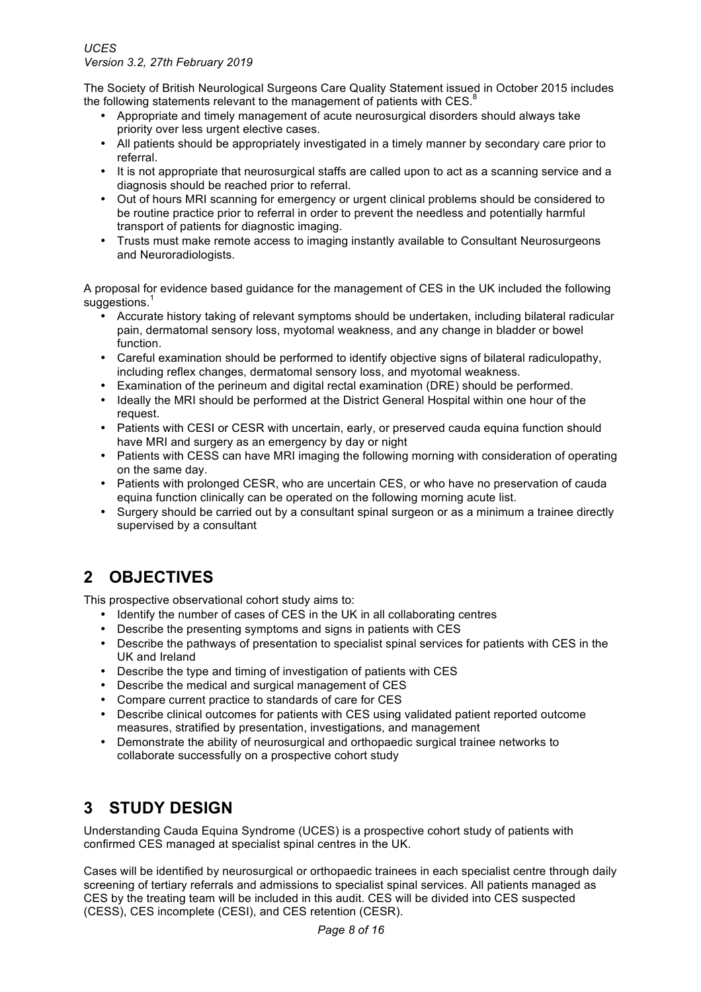The Society of British Neurological Surgeons Care Quality Statement issued in October 2015 includes the following statements relevant to the management of patients with  $CES<sup>8</sup>$ 

- Appropriate and timely management of acute neurosurgical disorders should always take priority over less urgent elective cases.
- All patients should be appropriately investigated in a timely manner by secondary care prior to referral.
- It is not appropriate that neurosurgical staffs are called upon to act as a scanning service and a diagnosis should be reached prior to referral.
- Out of hours MRI scanning for emergency or urgent clinical problems should be considered to be routine practice prior to referral in order to prevent the needless and potentially harmful transport of patients for diagnostic imaging.
- Trusts must make remote access to imaging instantly available to Consultant Neurosurgeons and Neuroradiologists.

A proposal for evidence based guidance for the management of CES in the UK included the following suggestions.<sup>1</sup>

- Accurate history taking of relevant symptoms should be undertaken, including bilateral radicular pain, dermatomal sensory loss, myotomal weakness, and any change in bladder or bowel function.
- Careful examination should be performed to identify objective signs of bilateral radiculopathy, including reflex changes, dermatomal sensory loss, and myotomal weakness.
- Examination of the perineum and digital rectal examination (DRE) should be performed.
- Ideally the MRI should be performed at the District General Hospital within one hour of the request.
- Patients with CESI or CESR with uncertain, early, or preserved cauda equina function should have MRI and surgery as an emergency by day or night
- Patients with CESS can have MRI imaging the following morning with consideration of operating on the same day.
- Patients with prolonged CESR, who are uncertain CES, or who have no preservation of cauda equina function clinically can be operated on the following morning acute list.
- Surgery should be carried out by a consultant spinal surgeon or as a minimum a trainee directly supervised by a consultant

# **2 OBJECTIVES**

This prospective observational cohort study aims to:

- Identify the number of cases of CES in the UK in all collaborating centres
- Describe the presenting symptoms and signs in patients with CES
- Describe the pathways of presentation to specialist spinal services for patients with CES in the UK and Ireland
- Describe the type and timing of investigation of patients with CES
- Describe the medical and surgical management of CES
- Compare current practice to standards of care for CES
- Describe clinical outcomes for patients with CES using validated patient reported outcome measures, stratified by presentation, investigations, and management
- Demonstrate the ability of neurosurgical and orthopaedic surgical trainee networks to collaborate successfully on a prospective cohort study

# **3 STUDY DESIGN**

Understanding Cauda Equina Syndrome (UCES) is a prospective cohort study of patients with confirmed CES managed at specialist spinal centres in the UK.

Cases will be identified by neurosurgical or orthopaedic trainees in each specialist centre through daily screening of tertiary referrals and admissions to specialist spinal services. All patients managed as CES by the treating team will be included in this audit. CES will be divided into CES suspected (CESS), CES incomplete (CESI), and CES retention (CESR).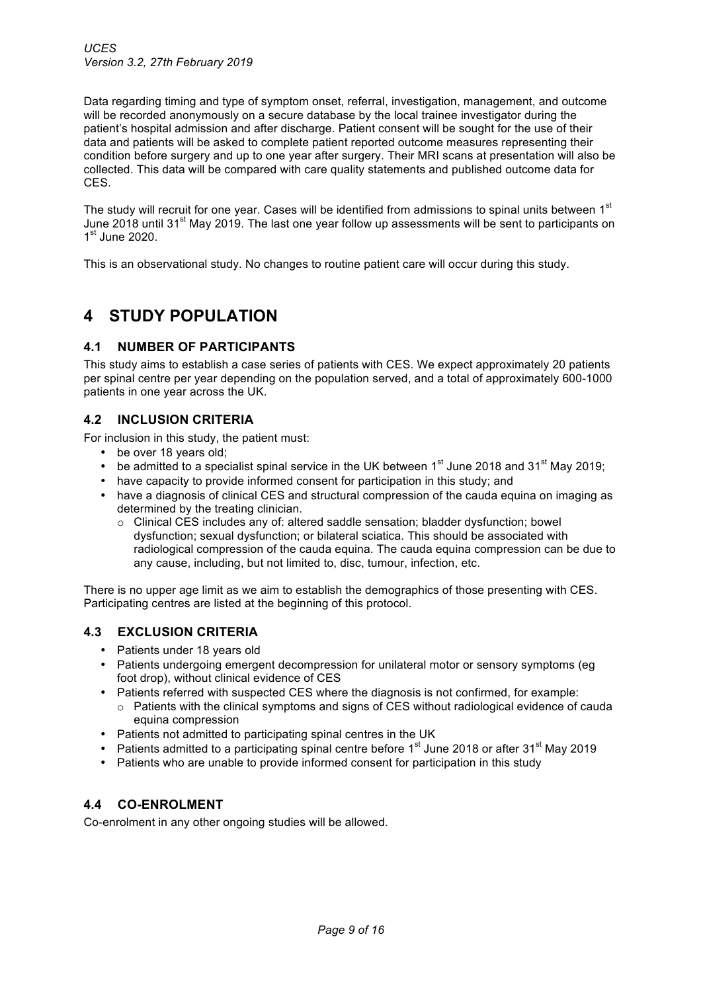Data regarding timing and type of symptom onset, referral, investigation, management, and outcome will be recorded anonymously on a secure database by the local trainee investigator during the patient's hospital admission and after discharge. Patient consent will be sought for the use of their data and patients will be asked to complete patient reported outcome measures representing their condition before surgery and up to one year after surgery. Their MRI scans at presentation will also be collected. This data will be compared with care quality statements and published outcome data for CES.

The study will recruit for one year. Cases will be identified from admissions to spinal units between 1<sup>st</sup> June 2018 until 31<sup>st</sup> May 2019. The last one year follow up assessments will be sent to participants on  $1<sup>st</sup>$  June 2020.

This is an observational study. No changes to routine patient care will occur during this study.

# **4 STUDY POPULATION**

### **4.1 NUMBER OF PARTICIPANTS**

This study aims to establish a case series of patients with CES. We expect approximately 20 patients per spinal centre per year depending on the population served, and a total of approximately 600-1000 patients in one year across the UK.

### **4.2 INCLUSION CRITERIA**

For inclusion in this study, the patient must:

- be over 18 years old;
- be admitted to a specialist spinal service in the UK between  $1<sup>st</sup>$  June 2018 and 31 $<sup>st</sup>$  May 2019;</sup>
- have capacity to provide informed consent for participation in this study; and
- have a diagnosis of clinical CES and structural compression of the cauda equina on imaging as determined by the treating clinician.
	- o Clinical CES includes any of: altered saddle sensation; bladder dysfunction; bowel dysfunction; sexual dysfunction; or bilateral sciatica. This should be associated with radiological compression of the cauda equina. The cauda equina compression can be due to any cause, including, but not limited to, disc, tumour, infection, etc.

There is no upper age limit as we aim to establish the demographics of those presenting with CES. Participating centres are listed at the beginning of this protocol.

## **4.3 EXCLUSION CRITERIA**

- Patients under 18 years old
- Patients undergoing emergent decompression for unilateral motor or sensory symptoms (eg foot drop), without clinical evidence of CES
- Patients referred with suspected CES where the diagnosis is not confirmed, for example:
	- o Patients with the clinical symptoms and signs of CES without radiological evidence of cauda equina compression
- Patients not admitted to participating spinal centres in the UK
- Patients admitted to a participating spinal centre before  $1<sup>st</sup>$  June 2018 or after 31<sup>st</sup> May 2019
- Patients who are unable to provide informed consent for participation in this study

## **4.4 CO-ENROLMENT**

Co-enrolment in any other ongoing studies will be allowed.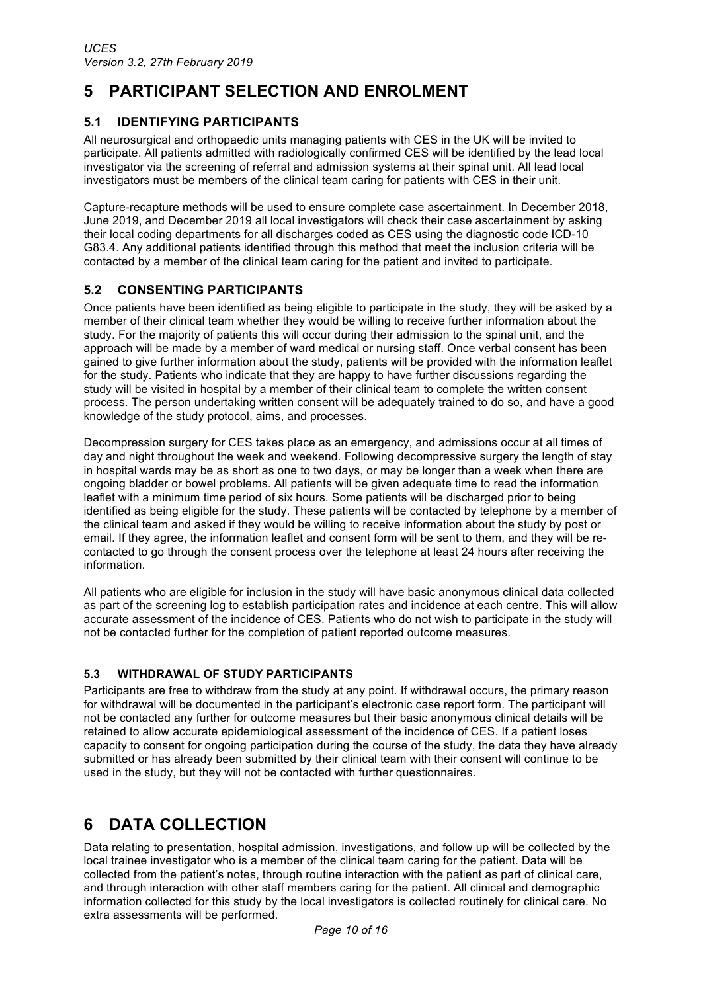# **5 PARTICIPANT SELECTION AND ENROLMENT**

## **5.1 IDENTIFYING PARTICIPANTS**

All neurosurgical and orthopaedic units managing patients with CES in the UK will be invited to participate. All patients admitted with radiologically confirmed CES will be identified by the lead local investigator via the screening of referral and admission systems at their spinal unit. All lead local investigators must be members of the clinical team caring for patients with CES in their unit.

Capture-recapture methods will be used to ensure complete case ascertainment. In December 2018, June 2019, and December 2019 all local investigators will check their case ascertainment by asking their local coding departments for all discharges coded as CES using the diagnostic code ICD-10 G83.4. Any additional patients identified through this method that meet the inclusion criteria will be contacted by a member of the clinical team caring for the patient and invited to participate.

## **5.2 CONSENTING PARTICIPANTS**

Once patients have been identified as being eligible to participate in the study, they will be asked by a member of their clinical team whether they would be willing to receive further information about the study. For the majority of patients this will occur during their admission to the spinal unit, and the approach will be made by a member of ward medical or nursing staff. Once verbal consent has been gained to give further information about the study, patients will be provided with the information leaflet for the study. Patients who indicate that they are happy to have further discussions regarding the study will be visited in hospital by a member of their clinical team to complete the written consent process. The person undertaking written consent will be adequately trained to do so, and have a good knowledge of the study protocol, aims, and processes.

Decompression surgery for CES takes place as an emergency, and admissions occur at all times of day and night throughout the week and weekend. Following decompressive surgery the length of stay in hospital wards may be as short as one to two days, or may be longer than a week when there are ongoing bladder or bowel problems. All patients will be given adequate time to read the information leaflet with a minimum time period of six hours. Some patients will be discharged prior to being identified as being eligible for the study. These patients will be contacted by telephone by a member of the clinical team and asked if they would be willing to receive information about the study by post or email. If they agree, the information leaflet and consent form will be sent to them, and they will be recontacted to go through the consent process over the telephone at least 24 hours after receiving the information.

All patients who are eligible for inclusion in the study will have basic anonymous clinical data collected as part of the screening log to establish participation rates and incidence at each centre. This will allow accurate assessment of the incidence of CES. Patients who do not wish to participate in the study will not be contacted further for the completion of patient reported outcome measures.

## **5.3 WITHDRAWAL OF STUDY PARTICIPANTS**

Participants are free to withdraw from the study at any point. If withdrawal occurs, the primary reason for withdrawal will be documented in the participant's electronic case report form. The participant will not be contacted any further for outcome measures but their basic anonymous clinical details will be retained to allow accurate epidemiological assessment of the incidence of CES. If a patient loses capacity to consent for ongoing participation during the course of the study, the data they have already submitted or has already been submitted by their clinical team with their consent will continue to be used in the study, but they will not be contacted with further questionnaires.

# **6 DATA COLLECTION**

Data relating to presentation, hospital admission, investigations, and follow up will be collected by the local trainee investigator who is a member of the clinical team caring for the patient. Data will be collected from the patient's notes, through routine interaction with the patient as part of clinical care, and through interaction with other staff members caring for the patient. All clinical and demographic information collected for this study by the local investigators is collected routinely for clinical care. No extra assessments will be performed.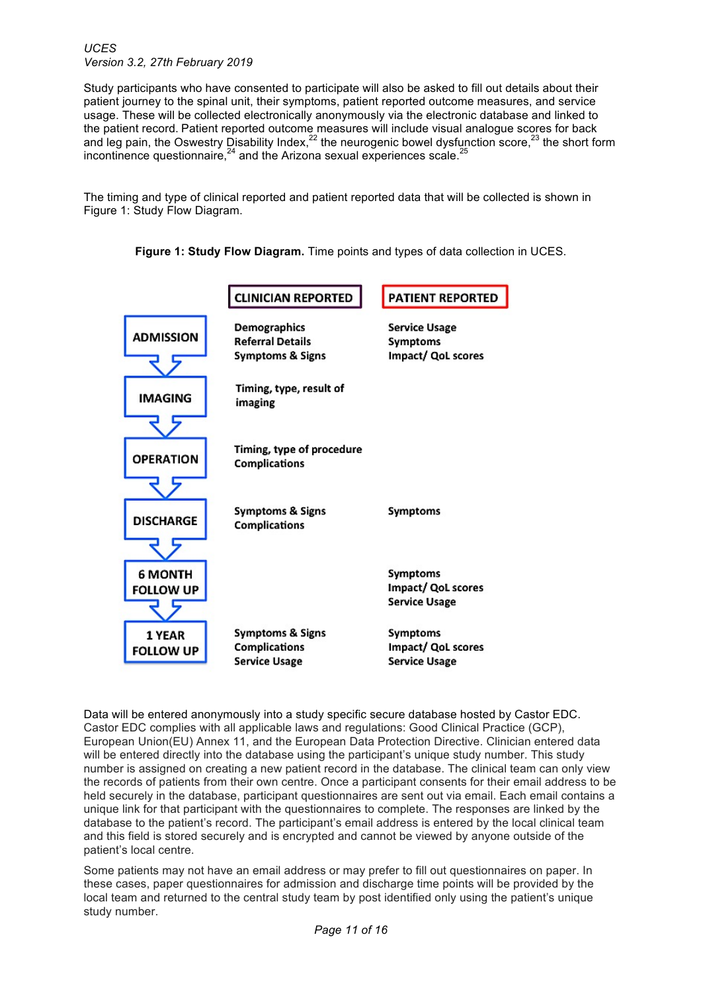Study participants who have consented to participate will also be asked to fill out details about their patient journey to the spinal unit, their symptoms, patient reported outcome measures, and service usage. These will be collected electronically anonymously via the electronic database and linked to the patient record. Patient reported outcome measures will include visual analogue scores for back and leg pain, the Oswestry Disability Index,  $^{22}$  the neurogenic bowel dysfunction score,  $^{23}$  the short form incontinence questionnaire,<sup>24</sup> and the Arizona sexual experiences scale.<sup>2</sup>

The timing and type of clinical reported and patient reported data that will be collected is shown in Figure 1: Study Flow Diagram.

**Figure 1: Study Flow Diagram.** Time points and types of data collection in UCES.



Data will be entered anonymously into a study specific secure database hosted by Castor EDC. Castor EDC complies with all applicable laws and regulations: Good Clinical Practice (GCP), European Union(EU) Annex 11, and the European Data Protection Directive. Clinician entered data will be entered directly into the database using the participant's unique study number. This study number is assigned on creating a new patient record in the database. The clinical team can only view the records of patients from their own centre. Once a participant consents for their email address to be held securely in the database, participant questionnaires are sent out via email. Each email contains a unique link for that participant with the questionnaires to complete. The responses are linked by the database to the patient's record. The participant's email address is entered by the local clinical team and this field is stored securely and is encrypted and cannot be viewed by anyone outside of the patient's local centre.

Some patients may not have an email address or may prefer to fill out questionnaires on paper. In these cases, paper questionnaires for admission and discharge time points will be provided by the local team and returned to the central study team by post identified only using the patient's unique study number.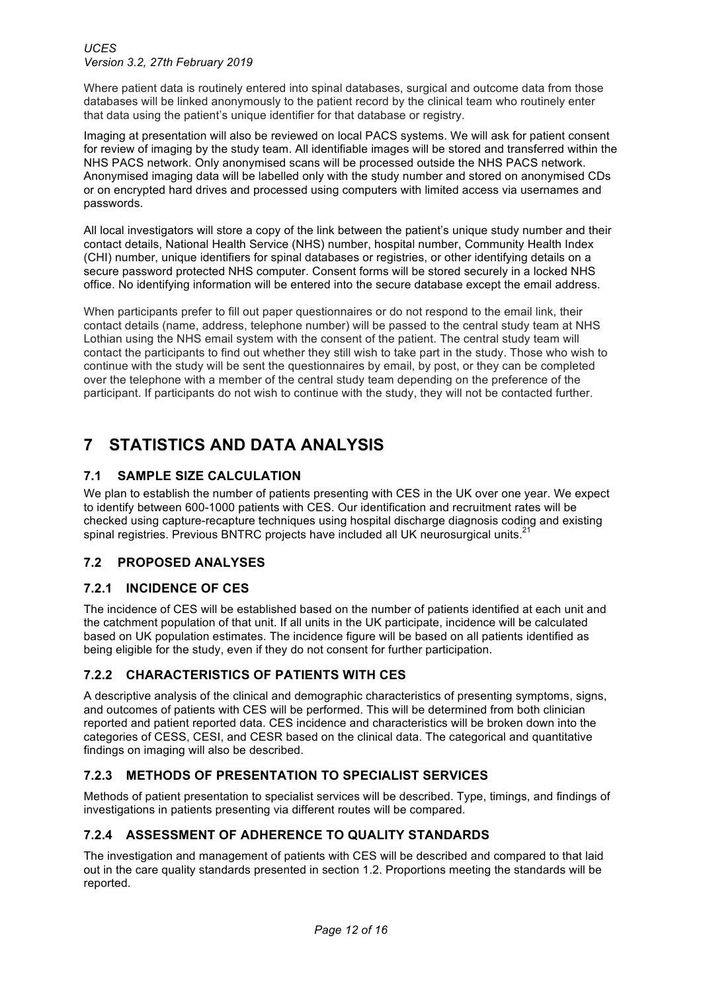Where patient data is routinely entered into spinal databases, surgical and outcome data from those databases will be linked anonymously to the patient record by the clinical team who routinely enter that data using the patient's unique identifier for that database or registry.

Imaging at presentation will also be reviewed on local PACS systems. We will ask for patient consent for review of imaging by the study team. All identifiable images will be stored and transferred within the NHS PACS network. Only anonymised scans will be processed outside the NHS PACS network. Anonymised imaging data will be labelled only with the study number and stored on anonymised CDs or on encrypted hard drives and processed using computers with limited access via usernames and passwords.

All local investigators will store a copy of the link between the patient's unique study number and their contact details, National Health Service (NHS) number, hospital number, Community Health Index (CHI) number, unique identifiers for spinal databases or registries, or other identifying details on a secure password protected NHS computer. Consent forms will be stored securely in a locked NHS office. No identifying information will be entered into the secure database except the email address.

When participants prefer to fill out paper questionnaires or do not respond to the email link, their contact details (name, address, telephone number) will be passed to the central study team at NHS Lothian using the NHS email system with the consent of the patient. The central study team will contact the participants to find out whether they still wish to take part in the study. Those who wish to continue with the study will be sent the questionnaires by email, by post, or they can be completed over the telephone with a member of the central study team depending on the preference of the participant. If participants do not wish to continue with the study, they will not be contacted further.

# **7 STATISTICS AND DATA ANALYSIS**

## **7.1 SAMPLE SIZE CALCULATION**

We plan to establish the number of patients presenting with CES in the UK over one year. We expect to identify between 600-1000 patients with CES. Our identification and recruitment rates will be checked using capture-recapture techniques using hospital discharge diagnosis coding and existing spinal registries. Previous BNTRC projects have included all UK neurosurgical units.<sup>21</sup>

## **7.2 PROPOSED ANALYSES**

## **7.2.1 INCIDENCE OF CES**

The incidence of CES will be established based on the number of patients identified at each unit and the catchment population of that unit. If all units in the UK participate, incidence will be calculated based on UK population estimates. The incidence figure will be based on all patients identified as being eligible for the study, even if they do not consent for further participation.

## **7.2.2 CHARACTERISTICS OF PATIENTS WITH CES**

A descriptive analysis of the clinical and demographic characteristics of presenting symptoms, signs, and outcomes of patients with CES will be performed. This will be determined from both clinician reported and patient reported data. CES incidence and characteristics will be broken down into the categories of CESS, CESI, and CESR based on the clinical data. The categorical and quantitative findings on imaging will also be described.

## **7.2.3 METHODS OF PRESENTATION TO SPECIALIST SERVICES**

Methods of patient presentation to specialist services will be described. Type, timings, and findings of investigations in patients presenting via different routes will be compared.

## **7.2.4 ASSESSMENT OF ADHERENCE TO QUALITY STANDARDS**

The investigation and management of patients with CES will be described and compared to that laid out in the care quality standards presented in section 1.2. Proportions meeting the standards will be reported.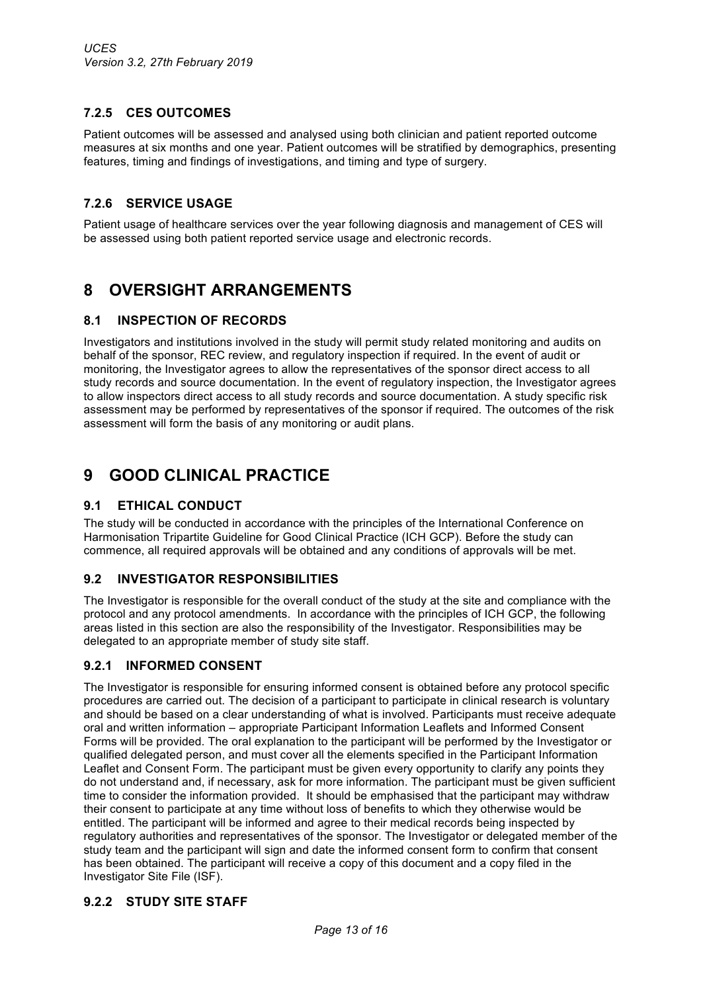## **7.2.5 CES OUTCOMES**

Patient outcomes will be assessed and analysed using both clinician and patient reported outcome measures at six months and one year. Patient outcomes will be stratified by demographics, presenting features, timing and findings of investigations, and timing and type of surgery.

### **7.2.6 SERVICE USAGE**

Patient usage of healthcare services over the year following diagnosis and management of CES will be assessed using both patient reported service usage and electronic records.

## **8 OVERSIGHT ARRANGEMENTS**

### **8.1 INSPECTION OF RECORDS**

Investigators and institutions involved in the study will permit study related monitoring and audits on behalf of the sponsor, REC review, and regulatory inspection if required. In the event of audit or monitoring, the Investigator agrees to allow the representatives of the sponsor direct access to all study records and source documentation. In the event of regulatory inspection, the Investigator agrees to allow inspectors direct access to all study records and source documentation. A study specific risk assessment may be performed by representatives of the sponsor if required. The outcomes of the risk assessment will form the basis of any monitoring or audit plans.

## **9 GOOD CLINICAL PRACTICE**

### **9.1 ETHICAL CONDUCT**

The study will be conducted in accordance with the principles of the International Conference on Harmonisation Tripartite Guideline for Good Clinical Practice (ICH GCP). Before the study can commence, all required approvals will be obtained and any conditions of approvals will be met.

### **9.2 INVESTIGATOR RESPONSIBILITIES**

The Investigator is responsible for the overall conduct of the study at the site and compliance with the protocol and any protocol amendments. In accordance with the principles of ICH GCP, the following areas listed in this section are also the responsibility of the Investigator. Responsibilities may be delegated to an appropriate member of study site staff.

### **9.2.1 INFORMED CONSENT**

The Investigator is responsible for ensuring informed consent is obtained before any protocol specific procedures are carried out. The decision of a participant to participate in clinical research is voluntary and should be based on a clear understanding of what is involved. Participants must receive adequate oral and written information – appropriate Participant Information Leaflets and Informed Consent Forms will be provided. The oral explanation to the participant will be performed by the Investigator or qualified delegated person, and must cover all the elements specified in the Participant Information Leaflet and Consent Form. The participant must be given every opportunity to clarify any points they do not understand and, if necessary, ask for more information. The participant must be given sufficient time to consider the information provided. It should be emphasised that the participant may withdraw their consent to participate at any time without loss of benefits to which they otherwise would be entitled. The participant will be informed and agree to their medical records being inspected by regulatory authorities and representatives of the sponsor. The Investigator or delegated member of the study team and the participant will sign and date the informed consent form to confirm that consent has been obtained. The participant will receive a copy of this document and a copy filed in the Investigator Site File (ISF).

### **9.2.2 STUDY SITE STAFF**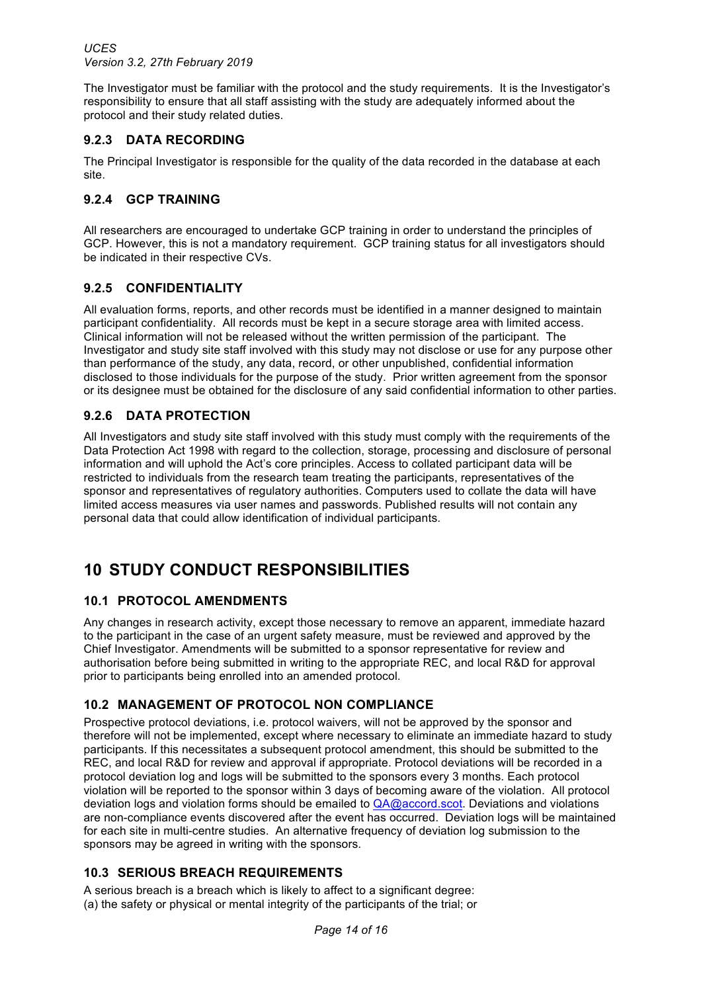The Investigator must be familiar with the protocol and the study requirements. It is the Investigator's responsibility to ensure that all staff assisting with the study are adequately informed about the protocol and their study related duties.

### **9.2.3 DATA RECORDING**

The Principal Investigator is responsible for the quality of the data recorded in the database at each site.

### **9.2.4 GCP TRAINING**

All researchers are encouraged to undertake GCP training in order to understand the principles of GCP. However, this is not a mandatory requirement. GCP training status for all investigators should be indicated in their respective CVs.

#### **9.2.5 CONFIDENTIALITY**

All evaluation forms, reports, and other records must be identified in a manner designed to maintain participant confidentiality. All records must be kept in a secure storage area with limited access. Clinical information will not be released without the written permission of the participant. The Investigator and study site staff involved with this study may not disclose or use for any purpose other than performance of the study, any data, record, or other unpublished, confidential information disclosed to those individuals for the purpose of the study. Prior written agreement from the sponsor or its designee must be obtained for the disclosure of any said confidential information to other parties.

### **9.2.6 DATA PROTECTION**

All Investigators and study site staff involved with this study must comply with the requirements of the Data Protection Act 1998 with regard to the collection, storage, processing and disclosure of personal information and will uphold the Act's core principles. Access to collated participant data will be restricted to individuals from the research team treating the participants, representatives of the sponsor and representatives of regulatory authorities. Computers used to collate the data will have limited access measures via user names and passwords. Published results will not contain any personal data that could allow identification of individual participants.

## **10 STUDY CONDUCT RESPONSIBILITIES**

### **10.1 PROTOCOL AMENDMENTS**

Any changes in research activity, except those necessary to remove an apparent, immediate hazard to the participant in the case of an urgent safety measure, must be reviewed and approved by the Chief Investigator. Amendments will be submitted to a sponsor representative for review and authorisation before being submitted in writing to the appropriate REC, and local R&D for approval prior to participants being enrolled into an amended protocol.

### **10.2 MANAGEMENT OF PROTOCOL NON COMPLIANCE**

Prospective protocol deviations, i.e. protocol waivers, will not be approved by the sponsor and therefore will not be implemented, except where necessary to eliminate an immediate hazard to study participants. If this necessitates a subsequent protocol amendment, this should be submitted to the REC, and local R&D for review and approval if appropriate. Protocol deviations will be recorded in a protocol deviation log and logs will be submitted to the sponsors every 3 months. Each protocol violation will be reported to the sponsor within 3 days of becoming aware of the violation. All protocol deviation logs and violation forms should be emailed to QA@accord.scot. Deviations and violations are non-compliance events discovered after the event has occurred. Deviation logs will be maintained for each site in multi-centre studies. An alternative frequency of deviation log submission to the sponsors may be agreed in writing with the sponsors.

### **10.3 SERIOUS BREACH REQUIREMENTS**

A serious breach is a breach which is likely to affect to a significant degree: (a) the safety or physical or mental integrity of the participants of the trial; or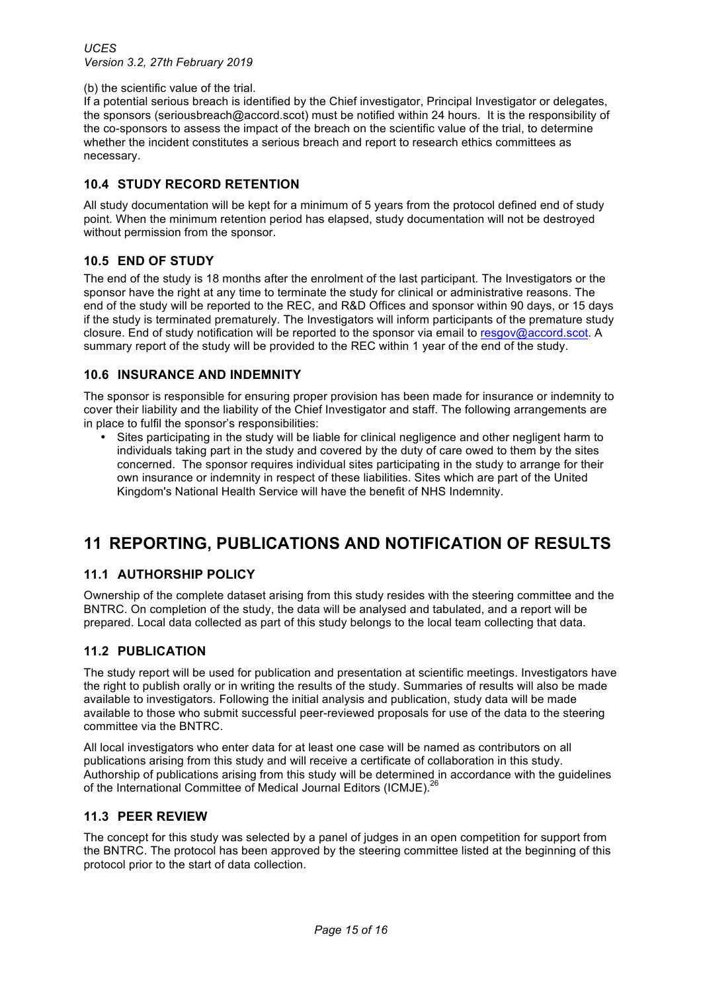(b) the scientific value of the trial.

If a potential serious breach is identified by the Chief investigator, Principal Investigator or delegates, the sponsors (seriousbreach@accord.scot) must be notified within 24 hours. It is the responsibility of the co-sponsors to assess the impact of the breach on the scientific value of the trial, to determine whether the incident constitutes a serious breach and report to research ethics committees as necessary.

### **10.4 STUDY RECORD RETENTION**

All study documentation will be kept for a minimum of 5 years from the protocol defined end of study point. When the minimum retention period has elapsed, study documentation will not be destroyed without permission from the sponsor.

### **10.5 END OF STUDY**

The end of the study is 18 months after the enrolment of the last participant. The Investigators or the sponsor have the right at any time to terminate the study for clinical or administrative reasons. The end of the study will be reported to the REC, and R&D Offices and sponsor within 90 days, or 15 days if the study is terminated prematurely. The Investigators will inform participants of the premature study closure. End of study notification will be reported to the sponsor via email to resgov@accord.scot. A summary report of the study will be provided to the REC within 1 year of the end of the study.

### **10.6 INSURANCE AND INDEMNITY**

The sponsor is responsible for ensuring proper provision has been made for insurance or indemnity to cover their liability and the liability of the Chief Investigator and staff. The following arrangements are in place to fulfil the sponsor's responsibilities:

Sites participating in the study will be liable for clinical negligence and other negligent harm to individuals taking part in the study and covered by the duty of care owed to them by the sites concerned. The sponsor requires individual sites participating in the study to arrange for their own insurance or indemnity in respect of these liabilities. Sites which are part of the United Kingdom's National Health Service will have the benefit of NHS Indemnity.

# **11 REPORTING, PUBLICATIONS AND NOTIFICATION OF RESULTS**

### **11.1 AUTHORSHIP POLICY**

Ownership of the complete dataset arising from this study resides with the steering committee and the BNTRC. On completion of the study, the data will be analysed and tabulated, and a report will be prepared. Local data collected as part of this study belongs to the local team collecting that data.

### **11.2 PUBLICATION**

The study report will be used for publication and presentation at scientific meetings. Investigators have the right to publish orally or in writing the results of the study. Summaries of results will also be made available to investigators. Following the initial analysis and publication, study data will be made available to those who submit successful peer-reviewed proposals for use of the data to the steering committee via the BNTRC.

All local investigators who enter data for at least one case will be named as contributors on all publications arising from this study and will receive a certificate of collaboration in this study. Authorship of publications arising from this study will be determined in accordance with the guidelines of the International Committee of Medical Journal Editors (ICMJE).<sup>2</sup>

#### **11.3 PEER REVIEW**

The concept for this study was selected by a panel of judges in an open competition for support from the BNTRC. The protocol has been approved by the steering committee listed at the beginning of this protocol prior to the start of data collection.